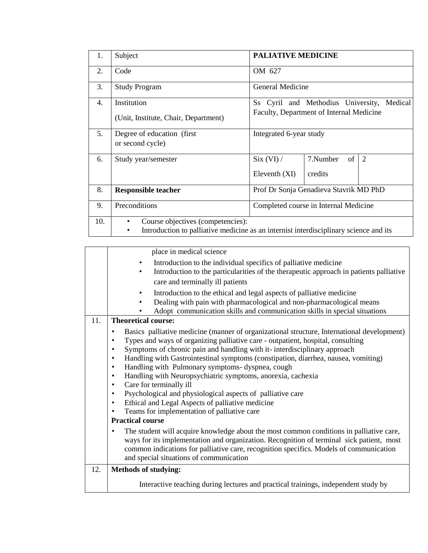| 1.  | Subject                                                                                                                                              | <b>PALIATIVE MEDICINE</b>                                                                 |  |  |  |  |
|-----|------------------------------------------------------------------------------------------------------------------------------------------------------|-------------------------------------------------------------------------------------------|--|--|--|--|
| 2.  | Code                                                                                                                                                 | OM 627                                                                                    |  |  |  |  |
| 3.  | <b>Study Program</b>                                                                                                                                 | General Medicine                                                                          |  |  |  |  |
| 4.  | Institution<br>(Unit, Institute, Chair, Department)                                                                                                  | Ss Cyril and Methodius University,<br>Medical<br>Faculty, Department of Internal Medicine |  |  |  |  |
| 5.  | Degree of education (first)<br>or second cycle)                                                                                                      | Integrated 6-year study                                                                   |  |  |  |  |
| 6.  | Study year/semester                                                                                                                                  | 7.Number<br>of<br>2<br>Six (VI) /<br>Eleventh (XI)<br>credits                             |  |  |  |  |
| 8.  | <b>Responsible teacher</b>                                                                                                                           | Prof Dr Sonja Genadieva Stavrik MD PhD                                                    |  |  |  |  |
| 9.  | Preconditions                                                                                                                                        | Completed course in Internal Medicine                                                     |  |  |  |  |
| 10. | Course objectives (competencies):<br>$\bullet$<br>Introduction to palliative medicine as an internist interdisciplinary science and its<br>$\bullet$ |                                                                                           |  |  |  |  |

|     | place in medical science                                                                                                                                                                                                                                                                                                                                                                                                                                                                                                                                                                                                                                                                                                                                                                                            |  |  |  |  |  |  |  |
|-----|---------------------------------------------------------------------------------------------------------------------------------------------------------------------------------------------------------------------------------------------------------------------------------------------------------------------------------------------------------------------------------------------------------------------------------------------------------------------------------------------------------------------------------------------------------------------------------------------------------------------------------------------------------------------------------------------------------------------------------------------------------------------------------------------------------------------|--|--|--|--|--|--|--|
|     | Introduction to the individual specifics of palliative medicine<br>Introduction to the particularities of the therapeutic approach in patients palliative<br>care and terminally ill patients                                                                                                                                                                                                                                                                                                                                                                                                                                                                                                                                                                                                                       |  |  |  |  |  |  |  |
|     | Introduction to the ethical and legal aspects of palliative medicine<br>Dealing with pain with pharmacological and non-pharmacological means<br>Adopt communication skills and communication skills in special situations                                                                                                                                                                                                                                                                                                                                                                                                                                                                                                                                                                                           |  |  |  |  |  |  |  |
| 11. | <b>Theoretical course:</b>                                                                                                                                                                                                                                                                                                                                                                                                                                                                                                                                                                                                                                                                                                                                                                                          |  |  |  |  |  |  |  |
|     | Basics palliative medicine (manner of organizational structure, International development)<br>$\bullet$<br>Types and ways of organizing palliative care - outpatient, hospital, consulting<br>٠<br>Symptoms of chronic pain and handling with it-interdisciplinary approach<br>$\bullet$<br>Handling with Gastrointestinal symptoms (constipation, diarrhea, nausea, vomiting)<br>$\bullet$<br>Handling with Pulmonary symptoms- dyspnea, cough<br>$\bullet$<br>Handling with Neuropsychiatric symptoms, anorexia, cachexia<br>$\bullet$<br>Care for terminally ill<br>$\bullet$<br>Psychological and physiological aspects of palliative care<br>$\bullet$<br>Ethical and Legal Aspects of palliative medicine<br>$\bullet$<br>Teams for implementation of palliative care<br>$\bullet$<br><b>Practical course</b> |  |  |  |  |  |  |  |
|     | The student will acquire knowledge about the most common conditions in palliative care,<br>$\bullet$<br>ways for its implementation and organization. Recognition of terminal sick patient, most<br>common indications for palliative care, recognition specifics. Models of communication<br>and special situations of communication                                                                                                                                                                                                                                                                                                                                                                                                                                                                               |  |  |  |  |  |  |  |
| 12. | <b>Methods of studying:</b>                                                                                                                                                                                                                                                                                                                                                                                                                                                                                                                                                                                                                                                                                                                                                                                         |  |  |  |  |  |  |  |
|     | Interactive teaching during lectures and practical trainings, independent study by                                                                                                                                                                                                                                                                                                                                                                                                                                                                                                                                                                                                                                                                                                                                  |  |  |  |  |  |  |  |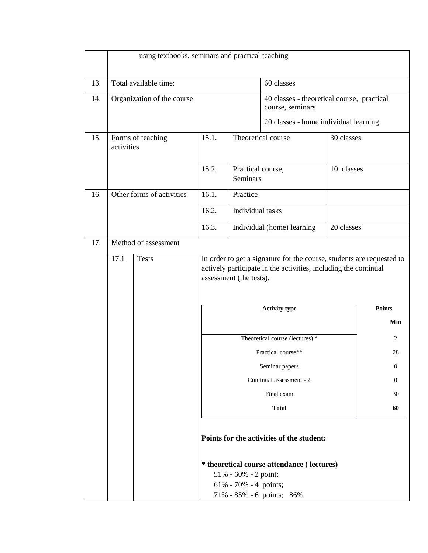|     | using textbooks, seminars and practical teaching                                                                                                                                            |                           |       |                                                                |                                                                          |            |               |  |
|-----|---------------------------------------------------------------------------------------------------------------------------------------------------------------------------------------------|---------------------------|-------|----------------------------------------------------------------|--------------------------------------------------------------------------|------------|---------------|--|
| 13. | Total available time:                                                                                                                                                                       |                           |       |                                                                | 60 classes                                                               |            |               |  |
| 14. | Organization of the course                                                                                                                                                                  |                           |       | 40 classes - theoretical course, practical<br>course, seminars |                                                                          |            |               |  |
|     |                                                                                                                                                                                             |                           |       |                                                                | 20 classes - home individual learning                                    |            |               |  |
| 15. | activities                                                                                                                                                                                  | Forms of teaching         | 15.1. |                                                                | Theoretical course<br>30 classes                                         |            |               |  |
|     |                                                                                                                                                                                             |                           | 15.2. | Practical course,<br>Seminars                                  |                                                                          | 10 classes |               |  |
| 16. |                                                                                                                                                                                             | Other forms of activities | 16.1. | Practice                                                       |                                                                          |            |               |  |
|     |                                                                                                                                                                                             |                           | 16.2. | Individual tasks                                               |                                                                          |            |               |  |
|     |                                                                                                                                                                                             |                           | 16.3. | Individual (home) learning<br>20 classes                       |                                                                          |            |               |  |
| 17. |                                                                                                                                                                                             | Method of assessment      |       |                                                                |                                                                          |            |               |  |
|     | 17.1<br>In order to get a signature for the course, students are requested to<br><b>Tests</b><br>actively participate in the activities, including the continual<br>assessment (the tests). |                           |       |                                                                |                                                                          |            |               |  |
|     |                                                                                                                                                                                             |                           |       | <b>Activity type</b>                                           |                                                                          |            | <b>Points</b> |  |
|     |                                                                                                                                                                                             |                           |       |                                                                |                                                                          |            | Min           |  |
|     |                                                                                                                                                                                             |                           |       |                                                                | Theoretical course (lectures) *                                          |            | 2             |  |
|     |                                                                                                                                                                                             |                           |       | Practical course**                                             |                                                                          |            | 28            |  |
|     |                                                                                                                                                                                             |                           |       |                                                                | Seminar papers                                                           |            | $\theta$      |  |
|     |                                                                                                                                                                                             |                           |       | Continual assessment - 2                                       |                                                                          |            | $\Omega$      |  |
|     |                                                                                                                                                                                             |                           |       |                                                                | Final exam                                                               |            | 30            |  |
|     |                                                                                                                                                                                             |                           |       |                                                                | <b>Total</b>                                                             |            | 60            |  |
|     | Points for the activities of the student:                                                                                                                                                   |                           |       |                                                                |                                                                          |            |               |  |
|     |                                                                                                                                                                                             |                           |       | 51% - 60% - 2 point;<br>$61\% - 70\% - 4$ points;              | * theoretical course attendance ( lectures)<br>71% - 85% - 6 points; 86% |            |               |  |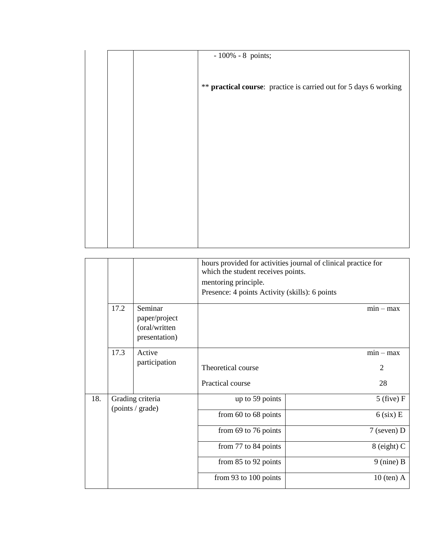|  | $-100\% - 8$ points;                                              |
|--|-------------------------------------------------------------------|
|  | ** practical course: practice is carried out for 5 days 6 working |
|  |                                                                   |
|  |                                                                   |
|  |                                                                   |
|  |                                                                   |

|     |                                      |                                                            | hours provided for activities journal of clinical practice for<br>which the student receives points.<br>mentoring principle.<br>Presence: 4 points Activity (skills): 6 points |                |  |  |  |  |
|-----|--------------------------------------|------------------------------------------------------------|--------------------------------------------------------------------------------------------------------------------------------------------------------------------------------|----------------|--|--|--|--|
|     | 17.2                                 | Seminar<br>paper/project<br>(oral/written<br>presentation) |                                                                                                                                                                                | $min - max$    |  |  |  |  |
|     | 17.3                                 | Active<br>participation                                    |                                                                                                                                                                                | $min - max$    |  |  |  |  |
|     |                                      |                                                            | Theoretical course                                                                                                                                                             | $\overline{2}$ |  |  |  |  |
|     |                                      |                                                            | Practical course                                                                                                                                                               | 28             |  |  |  |  |
| 18. | Grading criteria<br>(points / grade) |                                                            | up to 59 points                                                                                                                                                                | $5$ (five) F   |  |  |  |  |
|     |                                      |                                                            | from $60$ to $68$ points                                                                                                                                                       | $6$ (six) E    |  |  |  |  |
|     |                                      |                                                            | from 69 to 76 points                                                                                                                                                           | $7$ (seven) D  |  |  |  |  |
|     |                                      |                                                            | from 77 to 84 points                                                                                                                                                           | $8$ (eight) C  |  |  |  |  |
|     |                                      |                                                            | from 85 to 92 points                                                                                                                                                           | $9$ (nine) B   |  |  |  |  |
|     |                                      |                                                            | from 93 to 100 points                                                                                                                                                          | $10$ (ten) A   |  |  |  |  |